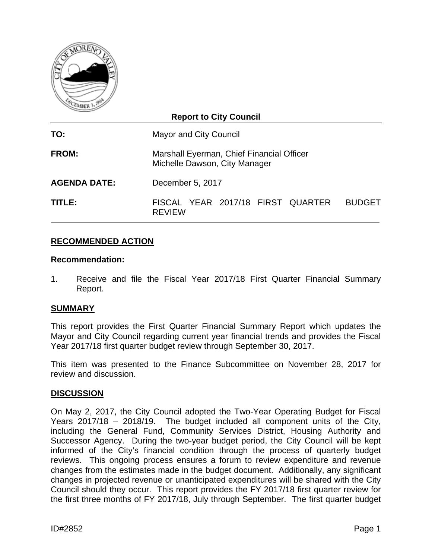

## **Report to City Council TO:** Mayor and City Council **FROM:** Marshall Eyerman, Chief Financial Officer Michelle Dawson, City Manager **AGENDA DATE:** December 5, 2017 **TITLE:** FISCAL YEAR 2017/18 FIRST QUARTER BUDGET REVIEW

## **RECOMMENDED ACTION**

#### **Recommendation:**

1. Receive and file the Fiscal Year 2017/18 First Quarter Financial Summary Report.

## **SUMMARY**

This report provides the First Quarter Financial Summary Report which updates the Mayor and City Council regarding current year financial trends and provides the Fiscal Year 2017/18 first quarter budget review through September 30, 2017.

This item was presented to the Finance Subcommittee on November 28, 2017 for review and discussion.

#### **DISCUSSION**

On May 2, 2017, the City Council adopted the Two-Year Operating Budget for Fiscal Years 2017/18 – 2018/19. The budget included all component units of the City, including the General Fund, Community Services District, Housing Authority and Successor Agency. During the two-year budget period, the City Council will be kept informed of the City's financial condition through the process of quarterly budget reviews. This ongoing process ensures a forum to review expenditure and revenue changes from the estimates made in the budget document. Additionally, any significant changes in projected revenue or unanticipated expenditures will be shared with the City Council should they occur. This report provides the FY 2017/18 first quarter review for the first three months of FY 2017/18, July through September. The first quarter budget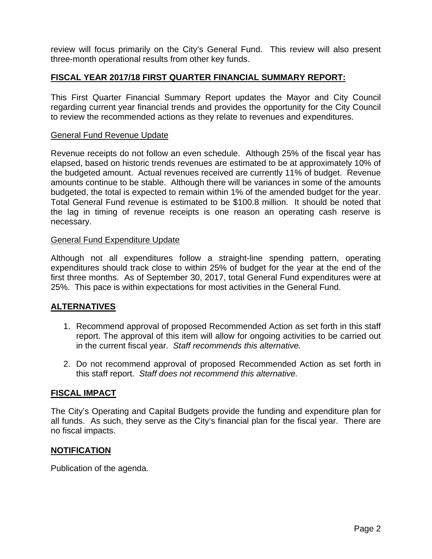review will focus primarily on the City's General Fund. This review will also present three-month operational results from other key funds.

## **FISCAL YEAR 2017/18 FIRST QUARTER FINANCIAL SUMMARY REPORT:**

This First Quarter Financial Summary Report updates the Mayor and City Council regarding current year financial trends and provides the opportunity for the City Council to review the recommended actions as they relate to revenues and expenditures.

#### General Fund Revenue Update

Revenue receipts do not follow an even schedule. Although 25% of the fiscal year has elapsed, based on historic trends revenues are estimated to be at approximately 10% of the budgeted amount. Actual revenues received are currently 11% of budget. Revenue amounts continue to be stable. Although there will be variances in some of the amounts budgeted, the total is expected to remain within 1% of the amended budget for the year. Total General Fund revenue is estimated to be \$100.8 million. It should be noted that the lag in timing of revenue receipts is one reason an operating cash reserve is necessary.

#### General Fund Expenditure Update

Although not all expenditures follow a straight-line spending pattern, operating expenditures should track close to within 25% of budget for the year at the end of the first three months. As of September 30, 2017, total General Fund expenditures were at 25%. This pace is within expectations for most activities in the General Fund.

## **ALTERNATIVES**

- 1. Recommend approval of proposed Recommended Action as set forth in this staff report. The approval of this item will allow for ongoing activities to be carried out in the current fiscal year. *Staff recommends this alternative.*
- 2. Do not recommend approval of proposed Recommended Action as set forth in this staff report. *Staff does not recommend this alternative.*

## **FISCAL IMPACT**

The City's Operating and Capital Budgets provide the funding and expenditure plan for all funds. As such, they serve as the City's financial plan for the fiscal year. There are no fiscal impacts.

#### **NOTIFICATION**

Publication of the agenda.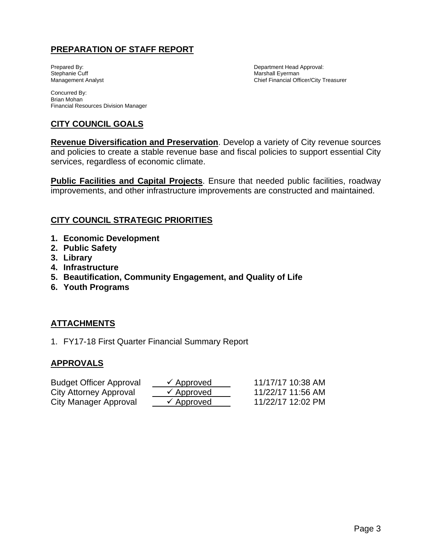## **PREPARATION OF STAFF REPORT**

Prepared By: The partners of the prepared By: The partners of the Department Head Approval: Stephanie Cuff and Approval: Narshall Eyerman Marshall Eyerman Management Analyst Chief Financial Officer/City Treasurer

Concurred By: Brian Mohan Financial Resources Division Manager

## **CITY COUNCIL GOALS**

**Revenue Diversification and Preservation**. Develop a variety of City revenue sources and policies to create a stable revenue base and fiscal policies to support essential City services, regardless of economic climate.

**Public Facilities and Capital Projects**. Ensure that needed public facilities, roadway improvements, and other infrastructure improvements are constructed and maintained.

## **CITY COUNCIL STRATEGIC PRIORITIES**

- **1. Economic Development**
- **2. Public Safety**
- **3. Library**
- **4. Infrastructure**
- **5. Beautification, Community Engagement, and Quality of Life**
- **6. Youth Programs**

## **ATTACHMENTS**

1. FY17-18 First Quarter Financial Summary Report

## **APPROVALS**

| <b>Budget Officer Approval</b> | $\checkmark$ Approved | 11/17/17 10:38 AM |
|--------------------------------|-----------------------|-------------------|
| City Attorney Approval         | $\checkmark$ Approved | 11/22/17 11:56 AM |
| City Manager Approval          | $\checkmark$ Approved | 11/22/17 12:02 PM |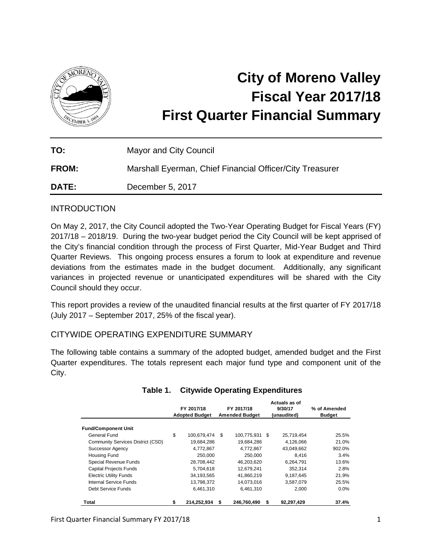

# **City of Moreno Valley Fiscal Year 2017/18 First Quarter Financial Summary**

| TO:          | Mayor and City Council                                   |
|--------------|----------------------------------------------------------|
| <b>FROM:</b> | Marshall Eyerman, Chief Financial Officer/City Treasurer |
| <b>DATE:</b> | December 5, 2017                                         |

## INTRODUCTION

On May 2, 2017, the City Council adopted the Two-Year Operating Budget for Fiscal Years (FY) 2017/18 – 2018/19. During the two-year budget period the City Council will be kept apprised of the City's financial condition through the process of First Quarter, Mid-Year Budget and Third Quarter Reviews. This ongoing process ensures a forum to look at expenditure and revenue deviations from the estimates made in the budget document. Additionally, any significant variances in projected revenue or unanticipated expenditures will be shared with the City Council should they occur.

This report provides a review of the unaudited financial results at the first quarter of FY 2017/18 (July 2017 – September 2017, 25% of the fiscal year).

## CITYWIDE OPERATING EXPENDITURE SUMMARY

The following table contains a summary of the adopted budget, amended budget and the First Quarter expenditures. The totals represent each major fund type and component unit of the City.

|                                   | FY 2017/18<br><b>Adopted Budget</b> |             | FY 2017/18<br><b>Amended Budget</b> |             |      | Actuals as of<br>9/30/17<br>(unaudited) | % of Amended<br><b>Budget</b> |  |
|-----------------------------------|-------------------------------------|-------------|-------------------------------------|-------------|------|-----------------------------------------|-------------------------------|--|
| <b>Fund/Component Unit</b>        |                                     |             |                                     |             |      |                                         |                               |  |
| General Fund                      | \$                                  | 100.679.474 | \$.                                 | 100.775.931 | - \$ | 25,719,454                              | 25.5%                         |  |
| Community Services District (CSD) |                                     | 19,684,286  |                                     | 19,684,286  |      | 4,126,066                               | 21.0%                         |  |
| Successor Agency                  |                                     | 4,772,867   |                                     | 4,772,867   |      | 43,049,662                              | 902.0%                        |  |
| <b>Housing Fund</b>               |                                     | 250,000     |                                     | 250.000     |      | 8.416                                   | 3.4%                          |  |
| Special Revenue Funds             |                                     | 28,708,442  |                                     | 46,203,620  |      | 6,264,791                               | 13.6%                         |  |
| <b>Capital Projects Funds</b>     |                                     | 5,704,618   |                                     | 12,679,241  |      | 352,314                                 | 2.8%                          |  |
| <b>Electric Utility Funds</b>     |                                     | 34,193,565  |                                     | 41,860,219  |      | 9,187,645                               | 21.9%                         |  |
| Internal Service Funds            |                                     | 13,798,372  |                                     | 14,073,016  |      | 3.587.079                               | 25.5%                         |  |
| Debt Service Funds                |                                     | 6,461,310   |                                     | 6,461,310   |      | 2.000                                   | $0.0\%$                       |  |
| Total                             | \$                                  | 214.252.934 | S                                   | 246.760.490 | S    | 92.297.429                              | 37.4%                         |  |

## **Table 1. Citywide Operating Expenditures**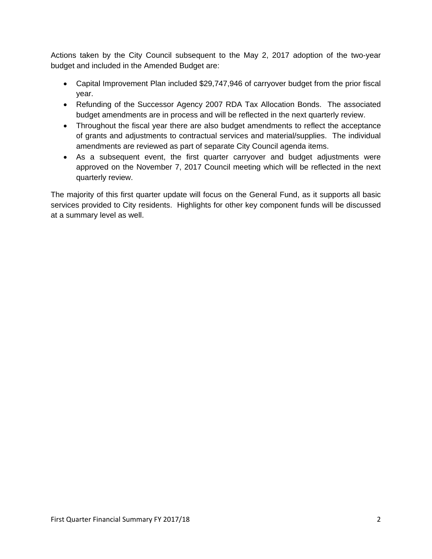Actions taken by the City Council subsequent to the May 2, 2017 adoption of the two-year budget and included in the Amended Budget are:

- Capital Improvement Plan included \$29,747,946 of carryover budget from the prior fiscal year.
- Refunding of the Successor Agency 2007 RDA Tax Allocation Bonds. The associated budget amendments are in process and will be reflected in the next quarterly review.
- Throughout the fiscal year there are also budget amendments to reflect the acceptance of grants and adjustments to contractual services and material/supplies. The individual amendments are reviewed as part of separate City Council agenda items.
- As a subsequent event, the first quarter carryover and budget adjustments were approved on the November 7, 2017 Council meeting which will be reflected in the next quarterly review.

The majority of this first quarter update will focus on the General Fund, as it supports all basic services provided to City residents. Highlights for other key component funds will be discussed at a summary level as well.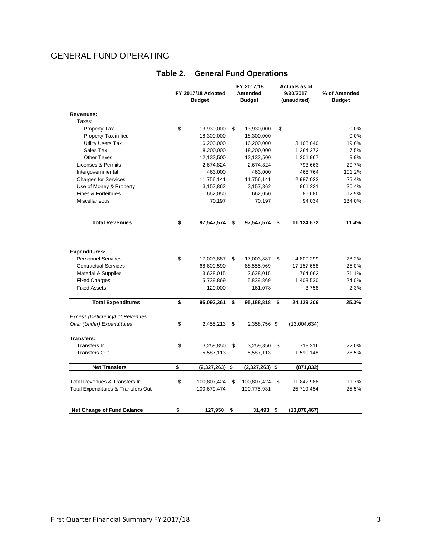## GENERAL FUND OPERATING

|                                       |                    |                          |    | FY 2017/18               | Actuals as of          |               |  |
|---------------------------------------|--------------------|--------------------------|----|--------------------------|------------------------|---------------|--|
|                                       | FY 2017/18 Adopted |                          |    | Amended                  | 9/30/2017              | % of Amended  |  |
|                                       | <b>Budget</b>      |                          |    | <b>Budget</b>            | (unaudited)            | <b>Budget</b> |  |
|                                       |                    |                          |    |                          |                        |               |  |
| Revenues:<br>Taxes:                   |                    |                          |    |                          |                        |               |  |
| <b>Property Tax</b>                   | \$                 | 13,930,000               | \$ |                          | \$                     | 0.0%          |  |
| Property Tax in-lieu                  |                    | 18,300,000               |    | 13,930,000<br>18,300,000 |                        | 0.0%          |  |
|                                       |                    | 16,200,000               |    | 16,200,000               | 3,168,040              | 19.6%         |  |
| <b>Utility Users Tax</b><br>Sales Tax |                    |                          |    |                          |                        | 7.5%          |  |
| <b>Other Taxes</b>                    |                    | 18,200,000<br>12,133,500 |    | 18,200,000<br>12,133,500 | 1,364,272<br>1,201,967 | 9.9%          |  |
| Licenses & Permits                    |                    |                          |    |                          | 793,663                | 29.7%         |  |
|                                       |                    | 2,674,824                |    | 2,674,824                |                        |               |  |
| Intergovernmental                     |                    | 463,000                  |    | 463,000                  | 468,764                | 101.2%        |  |
| <b>Charges for Services</b>           |                    | 11,756,141               |    | 11,756,141               | 2,987,022              | 25.4%         |  |
| Use of Money & Property               |                    | 3,157,862                |    | 3,157,862                | 961,231                | 30.4%         |  |
| Fines & Forfeitures                   |                    | 662,050                  |    | 662,050                  | 85,680                 | 12.9%         |  |
| <b>Miscellaneous</b>                  |                    | 70,197                   |    | 70,197                   | 94,034                 | 134.0%        |  |
| <b>Total Revenues</b>                 | \$                 | 97,547,574               | \$ | 97,547,574               | \$<br>11,124,672       | 11.4%         |  |
|                                       |                    |                          |    |                          |                        |               |  |
| <b>Expenditures:</b>                  |                    |                          |    |                          |                        |               |  |
| <b>Personnel Services</b>             | \$                 | 17,003,887               | \$ | 17,003,887               | \$<br>4,800,299        | 28.2%         |  |
| <b>Contractual Services</b>           |                    | 68,600,590               |    | 68,555,969               | 17,157,658             | 25.0%         |  |
| <b>Material &amp; Supplies</b>        |                    | 3,628,015                |    | 3,628,015                | 764,062                | 21.1%         |  |
| <b>Fixed Charges</b>                  |                    | 5,739,869                |    | 5,839,869                | 1,403,530              | 24.0%         |  |
| <b>Fixed Assets</b>                   |                    | 120,000                  |    | 161,078                  | 3,758                  | 2.3%          |  |
| <b>Total Expenditures</b>             | \$                 | 95,092,361               | \$ | 95,188,818               | \$<br>24,129,306       | 25.3%         |  |
|                                       |                    |                          |    |                          |                        |               |  |
| Excess (Deficiency) of Revenues       |                    |                          |    |                          |                        |               |  |
| Over (Under) Expenditures             | \$                 | 2,455,213                | \$ | 2,358,756 \$             | (13,004,634)           |               |  |
| <b>Transfers:</b>                     |                    |                          |    |                          |                        |               |  |
| Transfers In                          | \$                 | 3,259,850                | \$ | 3,259,850                | \$<br>718,316          | 22.0%         |  |
| <b>Transfers Out</b>                  |                    | 5,587,113                |    | 5,587,113                | 1,590,148              | 28.5%         |  |
| <b>Net Transfers</b>                  | \$                 | (2,327,263)              | \$ | (2,327,263)              | \$<br>(871,832)        |               |  |
|                                       |                    |                          |    |                          |                        |               |  |
| Total Revenues & Transfers In         | \$                 | 100,807,424              | \$ | 100,807,424              | \$<br>11,842,988       | 11.7%         |  |
| Total Expenditures & Transfers Out    |                    | 100,679,474              |    | 100,775,931              | 25,719,454             | 25.5%         |  |
| <b>Net Change of Fund Balance</b>     | \$                 | 127,950                  | \$ | 31,493                   | \$<br>(13, 876, 467)   |               |  |

## **Table 2. General Fund Operations**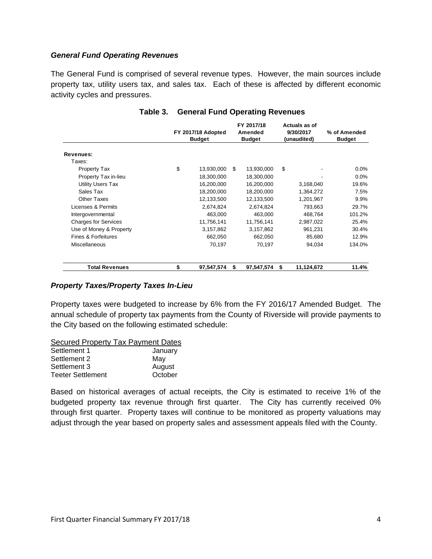#### *General Fund Operating Revenues*

The General Fund is comprised of several revenue types. However, the main sources include property tax, utility users tax, and sales tax. Each of these is affected by different economic activity cycles and pressures.

|                             | FY 2017/18 Adopted<br><b>Budget</b> | FY 2017/18<br>Amended<br><b>Budget</b> |            | Actuals as of<br>9/30/2017<br>(unaudited) |            | % of Amended<br><b>Budget</b> |
|-----------------------------|-------------------------------------|----------------------------------------|------------|-------------------------------------------|------------|-------------------------------|
| Revenues:                   |                                     |                                        |            |                                           |            |                               |
| Taxes:                      |                                     |                                        |            |                                           |            |                               |
| Property Tax                | \$<br>13,930,000                    | \$                                     | 13,930,000 | \$                                        |            | $0.0\%$                       |
| Property Tax in-lieu        | 18,300,000                          |                                        | 18,300,000 |                                           |            | $0.0\%$                       |
| <b>Utility Users Tax</b>    | 16,200,000                          |                                        | 16,200,000 |                                           | 3,168,040  | 19.6%                         |
| Sales Tax                   | 18,200,000                          |                                        | 18,200,000 |                                           | 1,364,272  | 7.5%                          |
| Other Taxes                 | 12,133,500                          |                                        | 12,133,500 |                                           | 1,201,967  | $9.9\%$                       |
| Licenses & Permits          | 2,674,824                           |                                        | 2,674,824  |                                           | 793.663    | 29.7%                         |
| Intergovernmental           | 463,000                             |                                        | 463,000    |                                           | 468,764    | 101.2%                        |
| <b>Charges for Services</b> | 11,756,141                          |                                        | 11,756,141 |                                           | 2,987,022  | 25.4%                         |
| Use of Money & Property     | 3,157,862                           |                                        | 3,157,862  |                                           | 961,231    | 30.4%                         |
| Fines & Forfeitures         | 662,050                             |                                        | 662,050    |                                           | 85,680     | 12.9%                         |
| <b>Miscellaneous</b>        | 70,197                              |                                        | 70.197     |                                           | 94.034     | 134.0%                        |
| <b>Total Revenues</b>       | \$<br>97,547,574                    | S                                      | 97,547,574 | \$                                        | 11,124,672 | 11.4%                         |

#### **Table 3. General Fund Operating Revenues**

#### *Property Taxes/Property Taxes In-Lieu*

Property taxes were budgeted to increase by 6% from the FY 2016/17 Amended Budget. The annual schedule of property tax payments from the County of Riverside will provide payments to the City based on the following estimated schedule:

| <b>Secured Property Tax Payment Dates</b> |         |
|-------------------------------------------|---------|
| Settlement 1                              | January |
| Settlement 2                              | May     |
| Settlement 3                              | August  |
| <b>Teeter Settlement</b>                  | October |

Based on historical averages of actual receipts, the City is estimated to receive 1% of the budgeted property tax revenue through first quarter. The City has currently received 0% through first quarter. Property taxes will continue to be monitored as property valuations may adjust through the year based on property sales and assessment appeals filed with the County.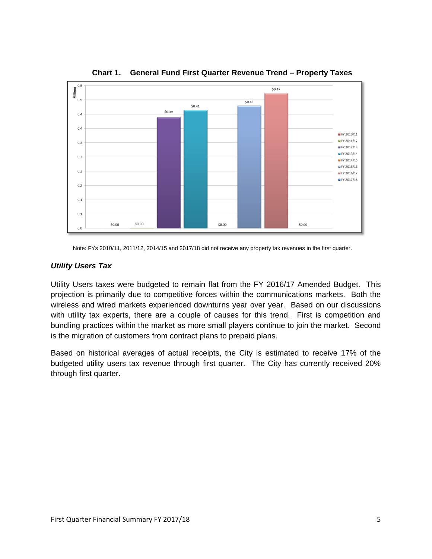

**Chart 1. General Fund First Quarter Revenue Trend – Property Taxes** 

Note: FYs 2010/11, 2011/12, 2014/15 and 2017/18 did not receive any property tax revenues in the first quarter.

#### *Utility Users Tax*

Utility Users taxes were budgeted to remain flat from the FY 2016/17 Amended Budget. This projection is primarily due to competitive forces within the communications markets. Both the wireless and wired markets experienced downturns year over year. Based on our discussions with utility tax experts, there are a couple of causes for this trend. First is competition and bundling practices within the market as more small players continue to join the market. Second is the migration of customers from contract plans to prepaid plans.

Based on historical averages of actual receipts, the City is estimated to receive 17% of the budgeted utility users tax revenue through first quarter. The City has currently received 20% through first quarter.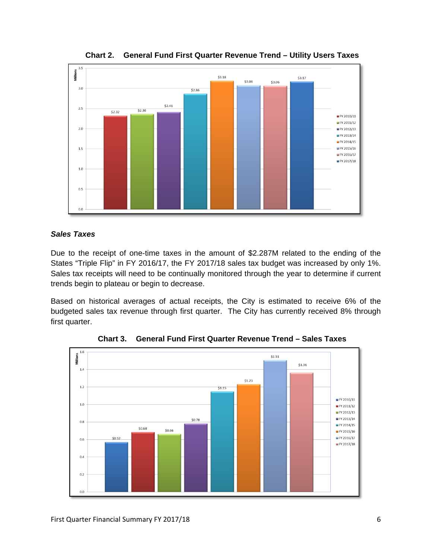

**Chart 2. General Fund First Quarter Revenue Trend – Utility Users Taxes** 

#### *Sales Taxes*

Due to the receipt of one-time taxes in the amount of \$2.287M related to the ending of the States "Triple Flip" in FY 2016/17, the FY 2017/18 sales tax budget was increased by only 1%. Sales tax receipts will need to be continually monitored through the year to determine if current trends begin to plateau or begin to decrease.

Based on historical averages of actual receipts, the City is estimated to receive 6% of the budgeted sales tax revenue through first quarter. The City has currently received 8% through first quarter.



**Chart 3. General Fund First Quarter Revenue Trend – Sales Taxes**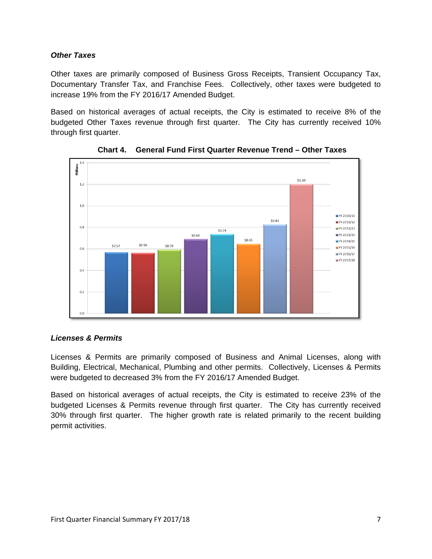#### *Other Taxes*

Other taxes are primarily composed of Business Gross Receipts, Transient Occupancy Tax, Documentary Transfer Tax, and Franchise Fees. Collectively, other taxes were budgeted to increase 19% from the FY 2016/17 Amended Budget.

Based on historical averages of actual receipts, the City is estimated to receive 8% of the budgeted Other Taxes revenue through first quarter. The City has currently received 10% through first quarter.



**Chart 4. General Fund First Quarter Revenue Trend – Other Taxes** 

## *Licenses & Permits*

Licenses & Permits are primarily composed of Business and Animal Licenses, along with Building, Electrical, Mechanical, Plumbing and other permits. Collectively, Licenses & Permits were budgeted to decreased 3% from the FY 2016/17 Amended Budget.

Based on historical averages of actual receipts, the City is estimated to receive 23% of the budgeted Licenses & Permits revenue through first quarter. The City has currently received 30% through first quarter. The higher growth rate is related primarily to the recent building permit activities.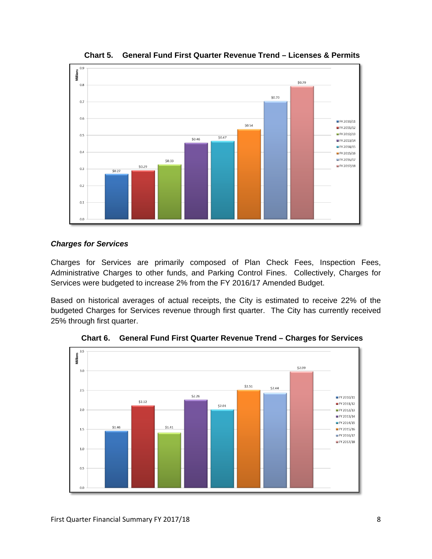

**Chart 5. General Fund First Quarter Revenue Trend – Licenses & Permits** 

#### *Charges for Services*

Charges for Services are primarily composed of Plan Check Fees, Inspection Fees, Administrative Charges to other funds, and Parking Control Fines. Collectively, Charges for Services were budgeted to increase 2% from the FY 2016/17 Amended Budget.

Based on historical averages of actual receipts, the City is estimated to receive 22% of the budgeted Charges for Services revenue through first quarter. The City has currently received 25% through first quarter.



**Chart 6. General Fund First Quarter Revenue Trend – Charges for Services**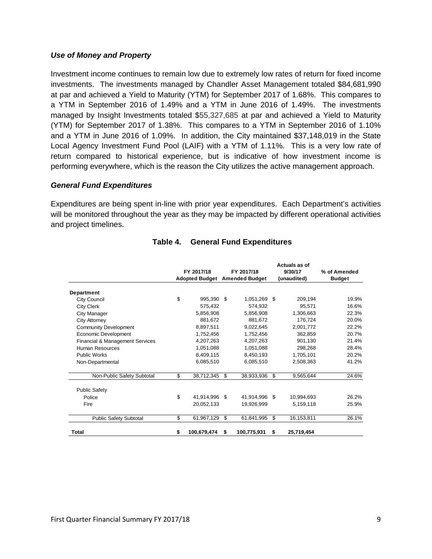#### *Use of Money and Property*

Investment income continues to remain low due to extremely low rates of return for fixed income investments. The investments managed by Chandler Asset Management totaled \$84,681,990 at par and achieved a Yield to Maturity (YTM) for September 2017 of 1.68%. This compares to a YTM in September 2016 of 1.49% and a YTM in June 2016 of 1.49%. The investments managed by Insight Investments totaled \$55,327,685 at par and achieved a Yield to Maturity (YTM) for September 2017 of 1.38%. This compares to a YTM in September 2016 of 1.10% and a YTM in June 2016 of 1.09%. In addition, the City maintained \$37,148,019 in the State Local Agency Investment Fund Pool (LAIF) with a YTM of 1.11%. This is a very low rate of return compared to historical experience, but is indicative of how investment income is performing everywhere, which is the reason the City utilizes the active management approach.

#### *General Fund Expenditures*

Expenditures are being spent in-line with prior year expenditures. Each Department's activities will be monitored throughout the year as they may be impacted by different operational activities and project timelines.

|                                 |    | FY 2017/18            | FY 2017/18            |             |     | Actuals as of<br>9/30/17 | % of Amended  |  |
|---------------------------------|----|-----------------------|-----------------------|-------------|-----|--------------------------|---------------|--|
|                                 |    | <b>Adopted Budget</b> | <b>Amended Budget</b> |             |     | (unaudited)              | <b>Budget</b> |  |
| Department                      |    |                       |                       |             |     |                          |               |  |
| City Council                    | \$ | 995,390               | -\$                   | 1,051,269   | \$  | 209,194                  | 19.9%         |  |
| <b>City Clerk</b>               |    | 575,432               |                       | 574,932     |     | 95,571                   | 16.6%         |  |
| City Manager                    |    | 5.856.908             |                       | 5.856.908   |     | 1,306,663                | 22.3%         |  |
| City Attorney                   |    | 881.672               |                       | 881.672     |     | 176.724                  | 20.0%         |  |
| <b>Community Development</b>    |    | 8.897.511             |                       | 9,022,645   |     | 2,001,772                | 22.2%         |  |
| Economic Development            |    | 1.752.456             |                       | 1.752.456   |     | 362,859                  | 20.7%         |  |
| Financial & Management Services |    | 4,207,263             |                       | 4,207,263   |     | 901,130                  | 21.4%         |  |
| Human Resources                 |    | 1,051,088             |                       | 1,051,088   |     | 298.268                  | 28.4%         |  |
| <b>Public Works</b>             |    | 8,409,115             |                       | 8,450,193   |     | 1,705,101                | 20.2%         |  |
| Non-Departmental                |    | 6,085,510             |                       | 6,085,510   |     | 2,508,363                | 41.2%         |  |
| Non-Public Safety Subtotal      | \$ | 38,712,345            | \$                    | 38,933,936  | \$  | 9,565,644                | 24.6%         |  |
| <b>Public Safety</b>            |    |                       |                       |             |     |                          |               |  |
| Police                          | \$ | 41,914,996            | -\$                   | 41,914,996  | \$. | 10.994.693               | 26.2%         |  |
| Fire                            |    | 20,052,133            |                       | 19,926,999  |     | 5,159,118                | 25.9%         |  |
| <b>Public Safety Subtotal</b>   | \$ | 61,967,129            | \$                    | 61,841,995  | \$  | 16,153,811               | 26.1%         |  |
| <b>Total</b>                    | \$ | 100,679,474           | \$                    | 100,775,931 | \$  | 25,719,454               |               |  |

#### **Table 4. General Fund Expenditures**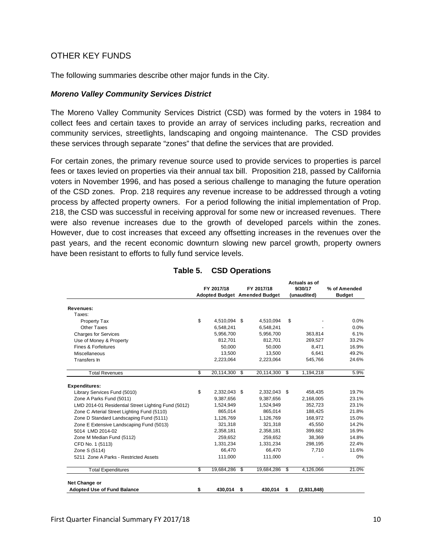#### OTHER KEY FUNDS

The following summaries describe other major funds in the City.

#### *Moreno Valley Community Services District*

The Moreno Valley Community Services District (CSD) was formed by the voters in 1984 to collect fees and certain taxes to provide an array of services including parks, recreation and community services, streetlights, landscaping and ongoing maintenance. The CSD provides these services through separate "zones" that define the services that are provided.

For certain zones, the primary revenue source used to provide services to properties is parcel fees or taxes levied on properties via their annual tax bill. Proposition 218, passed by California voters in November 1996, and has posed a serious challenge to managing the future operation of the CSD zones. Prop. 218 requires any revenue increase to be addressed through a voting process by affected property owners. For a period following the initial implementation of Prop. 218, the CSD was successful in receiving approval for some new or increased revenues. There were also revenue increases due to the growth of developed parcels within the zones. However, due to cost increases that exceed any offsetting increases in the revenues over the past years, and the recent economic downturn slowing new parcel growth, property owners have been resistant to efforts to fully fund service levels.

|                                                     | FY 2017/18 |               |    | FY 2017/18<br><b>Adopted Budget Amended Budget</b> |    | Autuais as Ul<br>9/30/17<br>(unaudited) | % of Amended<br><b>Budget</b> |
|-----------------------------------------------------|------------|---------------|----|----------------------------------------------------|----|-----------------------------------------|-------------------------------|
| Revenues:                                           |            |               |    |                                                    |    |                                         |                               |
| Taxes:                                              |            |               |    |                                                    |    |                                         |                               |
| Property Tax                                        | \$         | 4,510,094 \$  |    | 4,510,094                                          | \$ |                                         | 0.0%                          |
| Other Taxes                                         |            | 6,548,241     |    | 6,548,241                                          |    |                                         | 0.0%                          |
| <b>Charges for Services</b>                         |            | 5,956,700     |    | 5,956,700                                          |    | 363,814                                 | 6.1%                          |
| Use of Money & Property                             |            | 812,701       |    | 812,701                                            |    | 269.527                                 | 33.2%                         |
| Fines & Forfeitures                                 |            | 50,000        |    | 50,000                                             |    | 8,471                                   | 16.9%                         |
| Miscellaneous                                       |            | 13,500        |    | 13,500                                             |    | 6.641                                   | 49.2%                         |
| Transfers In                                        |            | 2,223,064     |    | 2,223,064                                          |    | 545,766                                 | 24.6%                         |
| <b>Total Revenues</b>                               | \$         | 20,114,300 \$ |    | 20,114,300                                         | \$ | 1,194,218                               | 5.9%                          |
| <b>Expenditures:</b>                                |            |               |    |                                                    |    |                                         |                               |
| Library Services Fund (5010)                        | \$         | 2,332,043 \$  |    | 2,332,043 \$                                       |    | 458,435                                 | 19.7%                         |
| Zone A Parks Fund (5011)                            |            | 9,387,656     |    | 9,387,656                                          |    | 2,168,005                               | 23.1%                         |
| LMD 2014-01 Residential Street Lighting Fund (5012) |            | 1,524,949     |    | 1,524,949                                          |    | 352.723                                 | 23.1%                         |
| Zone C Arterial Street Lighting Fund (5110)         |            | 865,014       |    | 865,014                                            |    | 188,425                                 | 21.8%                         |
| Zone D Standard Landscaping Fund (5111)             |            | 1,126,769     |    | 1,126,769                                          |    | 168,972                                 | 15.0%                         |
| Zone E Extensive Landscaping Fund (5013)            |            | 321,318       |    | 321,318                                            |    | 45,550                                  | 14.2%                         |
| 5014 LMD 2014-02                                    |            | 2,358,181     |    | 2,358,181                                          |    | 399,682                                 | 16.9%                         |
| Zone M Median Fund (5112)                           |            | 259,652       |    | 259,652                                            |    | 38,369                                  | 14.8%                         |
| CFD No. 1 (5113)                                    |            | 1,331,234     |    | 1,331,234                                          |    | 298,195                                 | 22.4%                         |
| Zone S (5114)                                       |            | 66,470        |    | 66,470                                             |    | 7,710                                   | 11.6%                         |
| 5211 Zone A Parks - Restricted Assets               |            | 111.000       |    | 111,000                                            |    |                                         | $0\%$                         |
| <b>Total Expenditures</b>                           | \$         | 19,684,286 \$ |    | 19,684,286                                         | \$ | 4,126,066                               | 21.0%                         |
| Net Change or                                       |            |               |    |                                                    |    |                                         |                               |
| <b>Adopted Use of Fund Balance</b>                  | \$         | 430,014       | \$ | 430.014                                            | \$ | (2,931,848)                             |                               |

#### **Table 5. CSD Operations**

 **Actuals as of**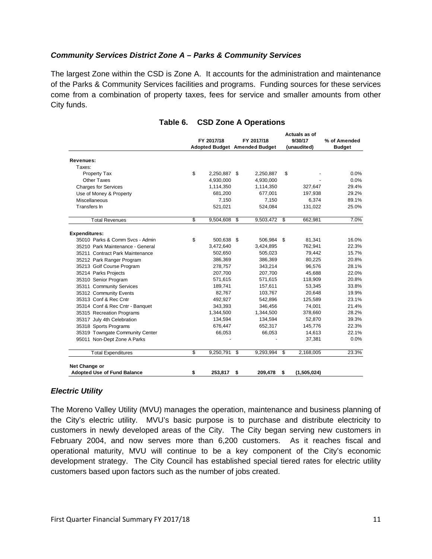#### *Community Services District Zone A – Parks & Community Services*

The largest Zone within the CSD is Zone A. It accounts for the administration and maintenance of the Parks & Community Services facilities and programs. Funding sources for these services come from a combination of property taxes, fees for service and smaller amounts from other City funds.

|                                    | FY 2017/18<br>Adopted Budget Amended Budget |              | FY 2017/18              |            | Actuals as of<br>9/30/17<br>(unaudited) |             | % of Amended<br><b>Budget</b> |
|------------------------------------|---------------------------------------------|--------------|-------------------------|------------|-----------------------------------------|-------------|-------------------------------|
| <b>Revenues:</b>                   |                                             |              |                         |            |                                         |             |                               |
| Taxes:                             |                                             |              |                         |            |                                         |             |                               |
| Property Tax                       | \$                                          | 2,250,887 \$ |                         | 2,250,887  | \$                                      |             | 0.0%                          |
| Other Taxes                        |                                             | 4,930,000    |                         | 4,930,000  |                                         |             | 0.0%                          |
| <b>Charges for Services</b>        |                                             | 1,114,350    |                         | 1,114,350  |                                         | 327,647     | 29.4%                         |
| Use of Money & Property            |                                             | 681,200      |                         | 677,001    |                                         | 197,938     | 29.2%                         |
| Miscellaneous                      |                                             | 7,150        |                         | 7,150      |                                         | 6,374       | 89.1%                         |
| Transfers In                       |                                             | 521,021      |                         | 524,084    |                                         | 131,022     | 25.0%                         |
| <b>Total Revenues</b>              | S                                           | 9,504,608    | $\overline{\mathbf{s}}$ | 9,503,472  | S,                                      | 662,981     | 7.0%                          |
| <b>Expenditures:</b>               |                                             |              |                         |            |                                         |             |                               |
| 35010 Parks & Comm Svcs - Admin    | \$                                          | 500,638 \$   |                         | 506,984 \$ |                                         | 81,341      | 16.0%                         |
| 35210 Park Maintenance - General   |                                             | 3,472,640    |                         | 3,424,895  |                                         | 762,941     | 22.3%                         |
| 35211 Contract Park Maintenance    |                                             | 502,650      |                         | 505,023    |                                         | 79,442      | 15.7%                         |
| 35212 Park Ranger Program          |                                             | 386,369      |                         | 386,369    |                                         | 80,225      | 20.8%                         |
| 35213 Golf Course Program          |                                             | 278,757      |                         | 343,214    |                                         | 96,576      | 28.1%                         |
| 35214 Parks Projects               |                                             | 207,700      |                         | 207,700    |                                         | 45,688      | 22.0%                         |
| 35310 Senior Program               |                                             | 571,615      |                         | 571,615    |                                         | 118,909     | 20.8%                         |
| 35311 Community Services           |                                             | 189,741      |                         | 157,611    |                                         | 53,345      | 33.8%                         |
| 35312 Community Events             |                                             | 82,767       |                         | 103,767    |                                         | 20,648      | 19.9%                         |
| 35313 Conf & Rec Cntr              |                                             | 492,927      |                         | 542,896    |                                         | 125,589     | 23.1%                         |
| 35314 Conf & Rec Cntr - Banquet    |                                             | 343,393      |                         | 346,456    |                                         | 74,001      | 21.4%                         |
| 35315 Recreation Programs          |                                             | 1,344,500    |                         | 1,344,500  |                                         | 378,660     | 28.2%                         |
| 35317 July 4th Celebration         |                                             | 134,594      |                         | 134,594    |                                         | 52,870      | 39.3%                         |
| 35318 Sports Programs              |                                             | 676,447      |                         | 652,317    |                                         | 145.776     | 22.3%                         |
| 35319 Towngate Community Center    |                                             | 66,053       |                         | 66,053     |                                         | 14,613      | 22.1%                         |
| 95011 Non-Dept Zone A Parks        |                                             |              |                         |            |                                         | 37,381      | 0.0%                          |
| <b>Total Expenditures</b>          | \$                                          | 9,250,791    | \$                      | 9,293,994  | \$                                      | 2,168,005   | 23.3%                         |
| Net Change or                      |                                             |              |                         |            |                                         |             |                               |
| <b>Adopted Use of Fund Balance</b> | \$                                          | 253.817      | \$                      | 209,478    | \$                                      | (1,505,024) |                               |

#### **Table 6. CSD Zone A Operations**

#### *Electric Utility*

The Moreno Valley Utility (MVU) manages the operation, maintenance and business planning of the City's electric utility. MVU's basic purpose is to purchase and distribute electricity to customers in newly developed areas of the City. The City began serving new customers in February 2004, and now serves more than 6,200 customers. As it reaches fiscal and operational maturity, MVU will continue to be a key component of the City's economic development strategy. The City Council has established special tiered rates for electric utility customers based upon factors such as the number of jobs created.